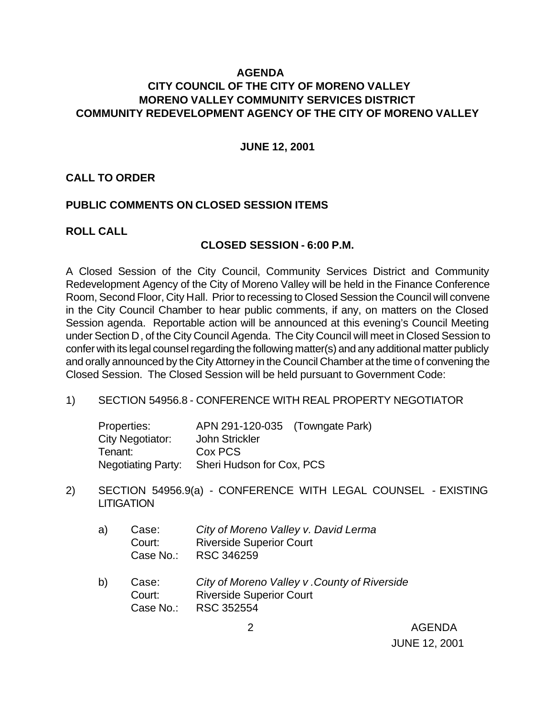#### **AGENDA**

# **CITY COUNCIL OF THE CITY OF MORENO VALLEY MORENO VALLEY COMMUNITY SERVICES DISTRICT COMMUNITY REDEVELOPMENT AGENCY OF THE CITY OF MORENO VALLEY**

#### **JUNE 12, 2001**

#### **CALL TO ORDER**

#### **PUBLIC COMMENTS ON CLOSED SESSION ITEMS**

#### **ROLL CALL**

#### **CLOSED SESSION - 6:00 P.M.**

A Closed Session of the City Council, Community Services District and Community Redevelopment Agency of the City of Moreno Valley will be held in the Finance Conference Room, Second Floor, City Hall. Prior to recessing to Closed Session the Council will convene in the City Council Chamber to hear public comments, if any, on matters on the Closed Session agenda. Reportable action will be announced at this evening's Council Meeting under Section D, of the City Council Agenda. The City Council will meet in Closed Session to confer with its legal counsel regarding the following matter(s) and any additional matter publicly and orally announced by the City Attorney in the Council Chamber at the time of convening the Closed Session. The Closed Session will be held pursuant to Government Code:

#### 1) SECTION 54956.8 - CONFERENCE WITH REAL PROPERTY NEGOTIATOR

| Properties:        | APN 291-120-035 (Towngate Park) |  |
|--------------------|---------------------------------|--|
| City Negotiator:   | John Strickler                  |  |
| Tenant:            | Cox PCS                         |  |
| Negotiating Party: | Sheri Hudson for Cox, PCS       |  |

- 2) SECTION 54956.9(a) CONFERENCE WITH LEGAL COUNSEL EXISTING **LITIGATION** 
	- a) Case: *City of Moreno Valley v. David Lerma* Court: Riverside Superior Court Case No.: RSC 346259
	- b) Case: *City of Moreno Valley v .County of Riverside* Court: Riverside Superior Court Case No.: RSC 352554

 2 AGENDA JUNE 12, 2001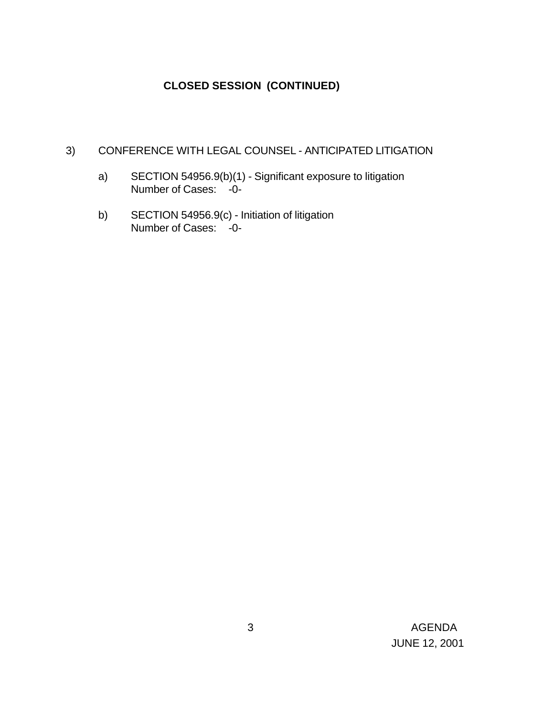# **CLOSED SESSION (CONTINUED)**

# 3) CONFERENCE WITH LEGAL COUNSEL - ANTICIPATED LITIGATION

- a) SECTION 54956.9(b)(1) Significant exposure to litigation Number of Cases: -0-
- b) SECTION 54956.9(c) Initiation of litigation Number of Cases: -0-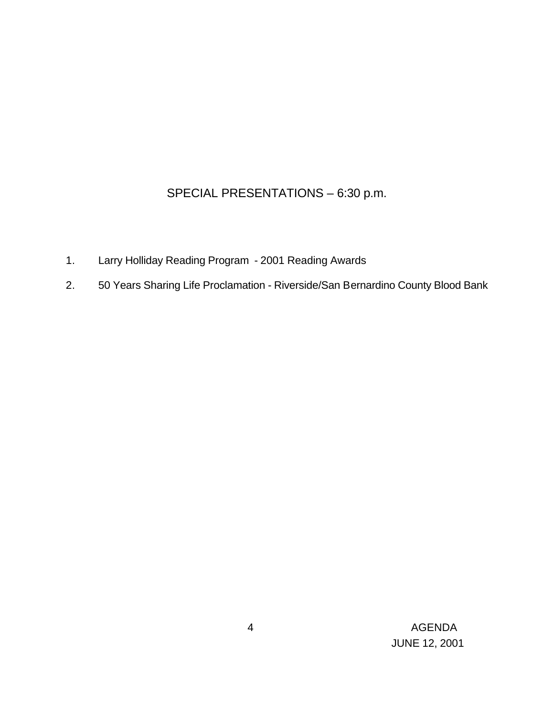# SPECIAL PRESENTATIONS – 6:30 p.m.

- 1. Larry Holliday Reading Program 2001 Reading Awards
- 2. 50 Years Sharing Life Proclamation Riverside/San Bernardino County Blood Bank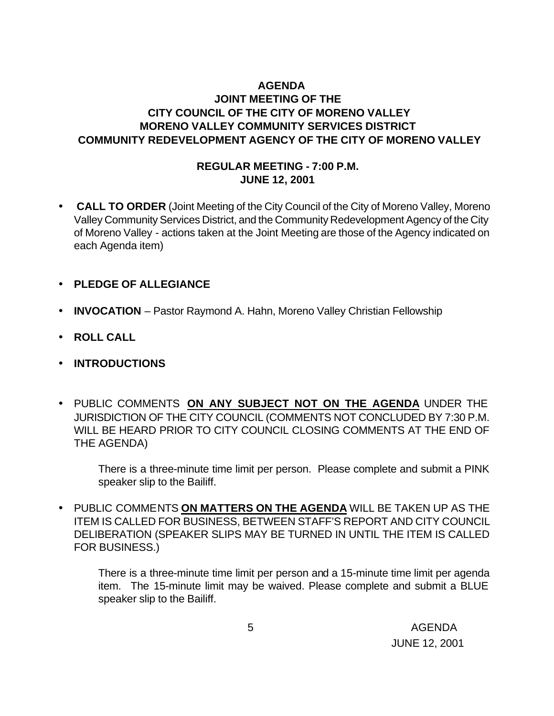# **AGENDA JOINT MEETING OF THE CITY COUNCIL OF THE CITY OF MORENO VALLEY MORENO VALLEY COMMUNITY SERVICES DISTRICT COMMUNITY REDEVELOPMENT AGENCY OF THE CITY OF MORENO VALLEY**

#### **REGULAR MEETING - 7:00 P.M. JUNE 12, 2001**

- • **CALL TO ORDER** (Joint Meeting of the City Council of the City of Moreno Valley, Moreno Valley Community Services District, and the Community Redevelopment Agency of the City of Moreno Valley - actions taken at the Joint Meeting are those of the Agency indicated on each Agenda item)
- **PLEDGE OF ALLEGIANCE**
- **INVOCATION** Pastor Raymond A. Hahn, Moreno Valley Christian Fellowship
- **ROLL CALL**
- **INTRODUCTIONS**
- PUBLIC COMMENTS **ON ANY SUBJECT NOT ON THE AGENDA** UNDER THE JURISDICTION OF THE CITY COUNCIL (COMMENTS NOT CONCLUDED BY 7:30 P.M. WILL BE HEARD PRIOR TO CITY COUNCIL CLOSING COMMENTS AT THE END OF THE AGENDA)

There is a three-minute time limit per person. Please complete and submit a PINK speaker slip to the Bailiff.

• PUBLIC COMMENTS **ON MATTERS ON THE AGENDA** WILL BE TAKEN UP AS THE ITEM IS CALLED FOR BUSINESS, BETWEEN STAFF'S REPORT AND CITY COUNCIL DELIBERATION (SPEAKER SLIPS MAY BE TURNED IN UNTIL THE ITEM IS CALLED FOR BUSINESS.)

There is a three-minute time limit per person and a 15-minute time limit per agenda item. The 15-minute limit may be waived. Please complete and submit a BLUE speaker slip to the Bailiff.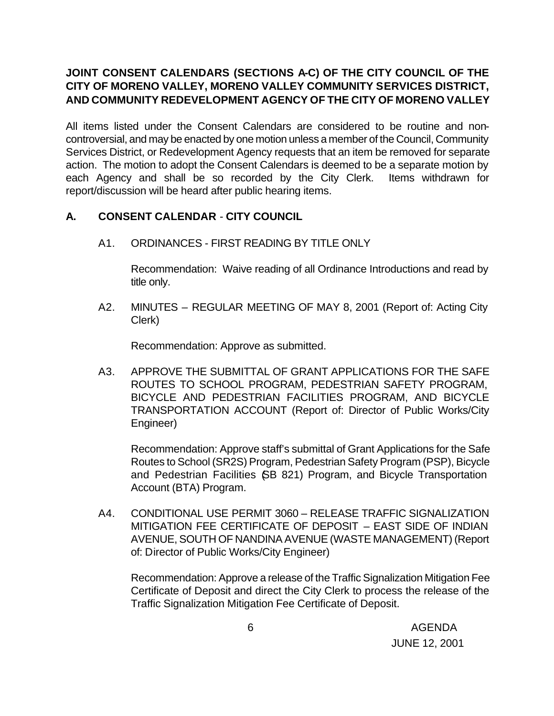# **JOINT CONSENT CALENDARS (SECTIONS A-C) OF THE CITY COUNCIL OF THE CITY OF MORENO VALLEY, MORENO VALLEY COMMUNITY SERVICES DISTRICT, AND COMMUNITY REDEVELOPMENT AGENCY OF THE CITY OF MORENO VALLEY**

All items listed under the Consent Calendars are considered to be routine and noncontroversial, and may be enacted by one motion unless a member of the Council, Community Services District, or Redevelopment Agency requests that an item be removed for separate action. The motion to adopt the Consent Calendars is deemed to be a separate motion by each Agency and shall be so recorded by the City Clerk. Items withdrawn for report/discussion will be heard after public hearing items.

# **A. CONSENT CALENDAR** - **CITY COUNCIL**

A1. ORDINANCES - FIRST READING BY TITLE ONLY

Recommendation: Waive reading of all Ordinance Introductions and read by title only.

A2. MINUTES – REGULAR MEETING OF MAY 8, 2001 (Report of: Acting City Clerk)

Recommendation: Approve as submitted.

A3. APPROVE THE SUBMITTAL OF GRANT APPLICATIONS FOR THE SAFE ROUTES TO SCHOOL PROGRAM, PEDESTRIAN SAFETY PROGRAM, BICYCLE AND PEDESTRIAN FACILITIES PROGRAM, AND BICYCLE TRANSPORTATION ACCOUNT (Report of: Director of Public Works/City Engineer)

Recommendation: Approve staff's submittal of Grant Applications for the Safe Routes to School (SR2S) Program, Pedestrian Safety Program (PSP), Bicycle and Pedestrian Facilities (SB 821) Program, and Bicycle Transportation Account (BTA) Program.

A4. CONDITIONAL USE PERMIT 3060 – RELEASE TRAFFIC SIGNALIZATION MITIGATION FEE CERTIFICATE OF DEPOSIT – EAST SIDE OF INDIAN AVENUE, SOUTH OF NANDINA AVENUE (WASTE MANAGEMENT) (Report of: Director of Public Works/City Engineer)

Recommendation: Approve a release of the Traffic Signalization Mitigation Fee Certificate of Deposit and direct the City Clerk to process the release of the Traffic Signalization Mitigation Fee Certificate of Deposit.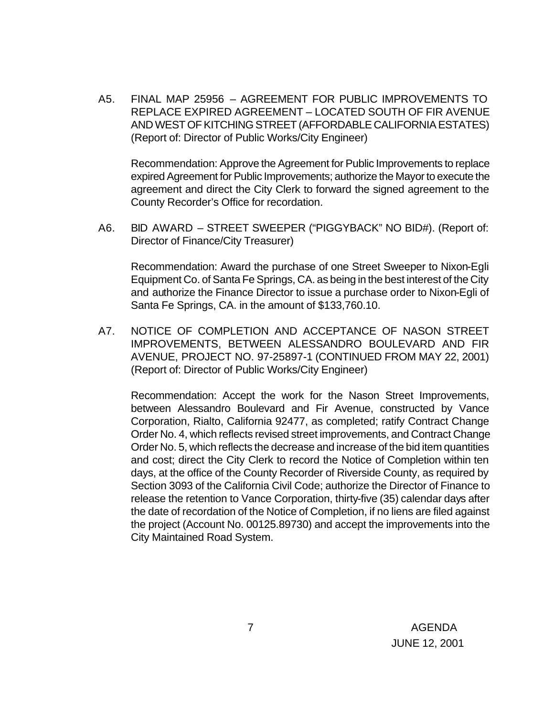A5. FINAL MAP 25956 – AGREEMENT FOR PUBLIC IMPROVEMENTS TO REPLACE EXPIRED AGREEMENT – LOCATED SOUTH OF FIR AVENUE AND WEST OF KITCHING STREET (AFFORDABLE CALIFORNIA ESTATES) (Report of: Director of Public Works/City Engineer)

Recommendation: Approve the Agreement for Public Improvements to replace expired Agreement for Public Improvements; authorize the Mayor to execute the agreement and direct the City Clerk to forward the signed agreement to the County Recorder's Office for recordation.

A6. BID AWARD – STREET SWEEPER ("PIGGYBACK" NO BID#). (Report of: Director of Finance/City Treasurer)

Recommendation: Award the purchase of one Street Sweeper to Nixon-Egli Equipment Co. of Santa Fe Springs, CA. as being in the best interest of the City and authorize the Finance Director to issue a purchase order to Nixon-Egli of Santa Fe Springs, CA. in the amount of \$133,760.10.

A7. NOTICE OF COMPLETION AND ACCEPTANCE OF NASON STREET IMPROVEMENTS, BETWEEN ALESSANDRO BOULEVARD AND FIR AVENUE, PROJECT NO. 97-25897-1 (CONTINUED FROM MAY 22, 2001) (Report of: Director of Public Works/City Engineer)

Recommendation: Accept the work for the Nason Street Improvements, between Alessandro Boulevard and Fir Avenue, constructed by Vance Corporation, Rialto, California 92477, as completed; ratify Contract Change Order No. 4, which reflects revised street improvements, and Contract Change Order No. 5, which reflects the decrease and increase of the bid item quantities and cost; direct the City Clerk to record the Notice of Completion within ten days, at the office of the County Recorder of Riverside County, as required by Section 3093 of the California Civil Code; authorize the Director of Finance to release the retention to Vance Corporation, thirty-five (35) calendar days after the date of recordation of the Notice of Completion, if no liens are filed against the project (Account No. 00125.89730) and accept the improvements into the City Maintained Road System.

 7 AGENDA JUNE 12, 2001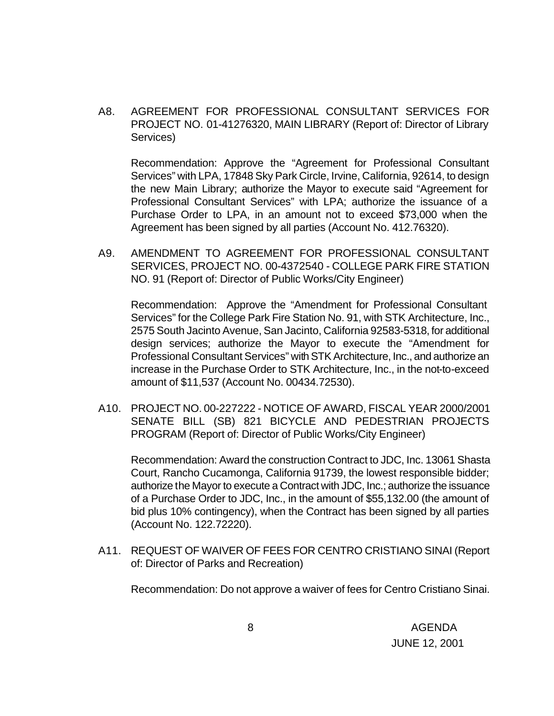A8. AGREEMENT FOR PROFESSIONAL CONSULTANT SERVICES FOR PROJECT NO. 01-41276320, MAIN LIBRARY (Report of: Director of Library Services)

Recommendation: Approve the "Agreement for Professional Consultant Services" with LPA, 17848 Sky Park Circle, Irvine, California, 92614, to design the new Main Library; authorize the Mayor to execute said "Agreement for Professional Consultant Services" with LPA; authorize the issuance of a Purchase Order to LPA, in an amount not to exceed \$73,000 when the Agreement has been signed by all parties (Account No. 412.76320).

A9. AMENDMENT TO AGREEMENT FOR PROFESSIONAL CONSULTANT SERVICES, PROJECT NO. 00-4372540 - COLLEGE PARK FIRE STATION NO. 91 (Report of: Director of Public Works/City Engineer)

Recommendation: Approve the "Amendment for Professional Consultant Services" for the College Park Fire Station No. 91, with STK Architecture, Inc., 2575 South Jacinto Avenue, San Jacinto, California 92583-5318, for additional design services; authorize the Mayor to execute the "Amendment for Professional Consultant Services" with STK Architecture, Inc., and authorize an increase in the Purchase Order to STK Architecture, Inc., in the not-to-exceed amount of \$11,537 (Account No. 00434.72530).

A10. PROJECT NO. 00-227222 - NOTICE OF AWARD, FISCAL YEAR 2000/2001 SENATE BILL (SB) 821 BICYCLE AND PEDESTRIAN PROJECTS PROGRAM (Report of: Director of Public Works/City Engineer)

Recommendation: Award the construction Contract to JDC, Inc. 13061 Shasta Court, Rancho Cucamonga, California 91739, the lowest responsible bidder; authorize the Mayor to execute a Contract with JDC, Inc.; authorize the issuance of a Purchase Order to JDC, Inc., in the amount of \$55,132.00 (the amount of bid plus 10% contingency), when the Contract has been signed by all parties (Account No. 122.72220).

A11. REQUEST OF WAIVER OF FEES FOR CENTRO CRISTIANO SINAI (Report of: Director of Parks and Recreation)

Recommendation: Do not approve a waiver of fees for Centro Cristiano Sinai.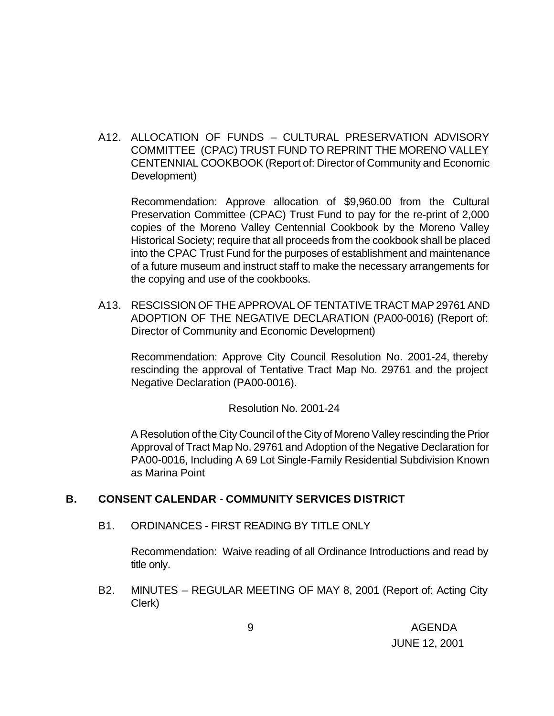A12. ALLOCATION OF FUNDS – CULTURAL PRESERVATION ADVISORY COMMITTEE (CPAC) TRUST FUND TO REPRINT THE MORENO VALLEY CENTENNIAL COOKBOOK (Report of: Director of Community and Economic Development)

Recommendation: Approve allocation of \$9,960.00 from the Cultural Preservation Committee (CPAC) Trust Fund to pay for the re-print of 2,000 copies of the Moreno Valley Centennial Cookbook by the Moreno Valley Historical Society; require that all proceeds from the cookbook shall be placed into the CPAC Trust Fund for the purposes of establishment and maintenance of a future museum and instruct staff to make the necessary arrangements for the copying and use of the cookbooks.

A13. RESCISSION OF THE APPROVAL OF TENTATIVE TRACT MAP 29761 AND ADOPTION OF THE NEGATIVE DECLARATION (PA00-0016) (Report of: Director of Community and Economic Development)

Recommendation: Approve City Council Resolution No. 2001-24, thereby rescinding the approval of Tentative Tract Map No. 29761 and the project Negative Declaration (PA00-0016).

Resolution No. 2001-24

A Resolution of the City Council of the City of Moreno Valley rescinding the Prior Approval of Tract Map No. 29761 and Adoption of the Negative Declaration for PA00-0016, Including A 69 Lot Single-Family Residential Subdivision Known as Marina Point

## **B. CONSENT CALENDAR** - **COMMUNITY SERVICES DISTRICT**

B1. ORDINANCES - FIRST READING BY TITLE ONLY

Recommendation: Waive reading of all Ordinance Introductions and read by title only.

B2. MINUTES – REGULAR MEETING OF MAY 8, 2001 (Report of: Acting City Clerk)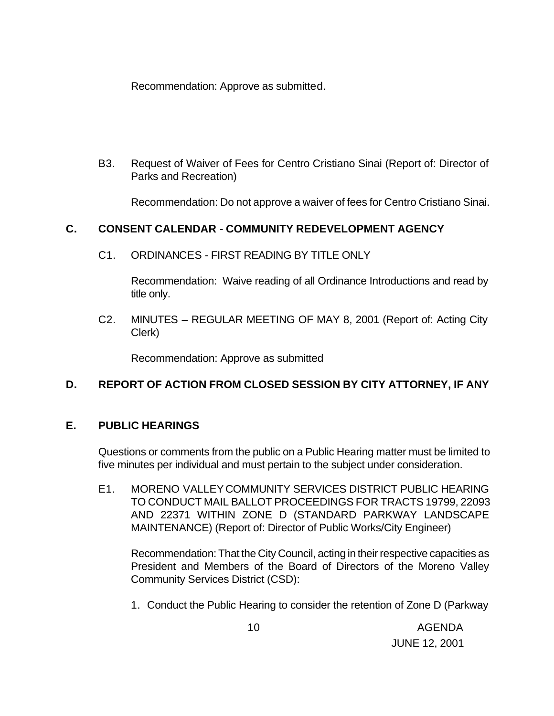Recommendation: Approve as submitted.

B3. Request of Waiver of Fees for Centro Cristiano Sinai (Report of: Director of Parks and Recreation)

Recommendation: Do not approve a waiver of fees for Centro Cristiano Sinai.

# **C. CONSENT CALENDAR** - **COMMUNITY REDEVELOPMENT AGENCY**

C1. ORDINANCES - FIRST READING BY TITLE ONLY

Recommendation: Waive reading of all Ordinance Introductions and read by title only.

C2. MINUTES – REGULAR MEETING OF MAY 8, 2001 (Report of: Acting City Clerk)

Recommendation: Approve as submitted

# **D. REPORT OF ACTION FROM CLOSED SESSION BY CITY ATTORNEY, IF ANY**

## **E. PUBLIC HEARINGS**

Questions or comments from the public on a Public Hearing matter must be limited to five minutes per individual and must pertain to the subject under consideration.

E1. MORENO VALLEY COMMUNITY SERVICES DISTRICT PUBLIC HEARING TO CONDUCT MAIL BALLOT PROCEEDINGS FOR TRACTS 19799, 22093 AND 22371 WITHIN ZONE D (STANDARD PARKWAY LANDSCAPE MAINTENANCE) (Report of: Director of Public Works/City Engineer)

Recommendation: That the City Council, acting in their respective capacities as President and Members of the Board of Directors of the Moreno Valley Community Services District (CSD):

1. Conduct the Public Hearing to consider the retention of Zone D (Parkway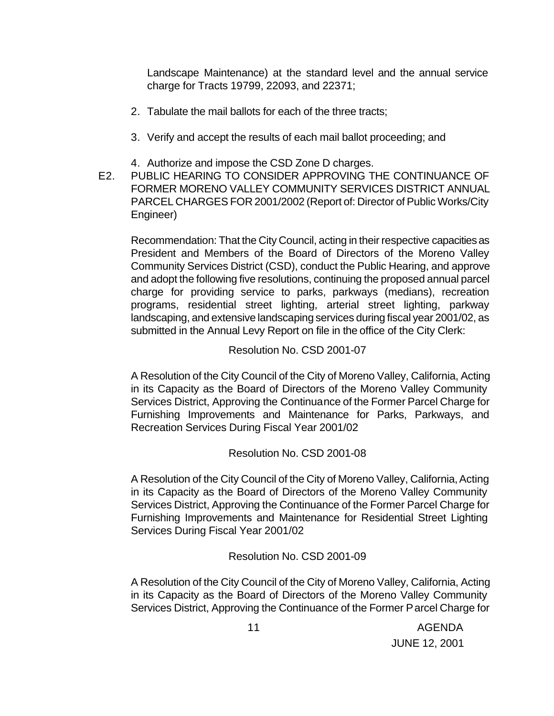Landscape Maintenance) at the standard level and the annual service charge for Tracts 19799, 22093, and 22371;

- 2. Tabulate the mail ballots for each of the three tracts;
- 3. Verify and accept the results of each mail ballot proceeding; and
- 4. Authorize and impose the CSD Zone D charges.
- E2. PUBLIC HEARING TO CONSIDER APPROVING THE CONTINUANCE OF FORMER MORENO VALLEY COMMUNITY SERVICES DISTRICT ANNUAL PARCEL CHARGES FOR 2001/2002 (Report of: Director of Public Works/City Engineer)

Recommendation: That the City Council, acting in their respective capacities as President and Members of the Board of Directors of the Moreno Valley Community Services District (CSD), conduct the Public Hearing, and approve and adopt the following five resolutions, continuing the proposed annual parcel charge for providing service to parks, parkways (medians), recreation programs, residential street lighting, arterial street lighting, parkway landscaping, and extensive landscaping services during fiscal year 2001/02, as submitted in the Annual Levy Report on file in the office of the City Clerk:

#### Resolution No. CSD 2001-07

A Resolution of the City Council of the City of Moreno Valley, California, Acting in its Capacity as the Board of Directors of the Moreno Valley Community Services District, Approving the Continuance of the Former Parcel Charge for Furnishing Improvements and Maintenance for Parks, Parkways, and Recreation Services During Fiscal Year 2001/02

## Resolution No. CSD 2001-08

A Resolution of the City Council of the City of Moreno Valley, California, Acting in its Capacity as the Board of Directors of the Moreno Valley Community Services District, Approving the Continuance of the Former Parcel Charge for Furnishing Improvements and Maintenance for Residential Street Lighting Services During Fiscal Year 2001/02

## Resolution No. CSD 2001-09

A Resolution of the City Council of the City of Moreno Valley, California, Acting in its Capacity as the Board of Directors of the Moreno Valley Community Services District, Approving the Continuance of the Former Parcel Charge for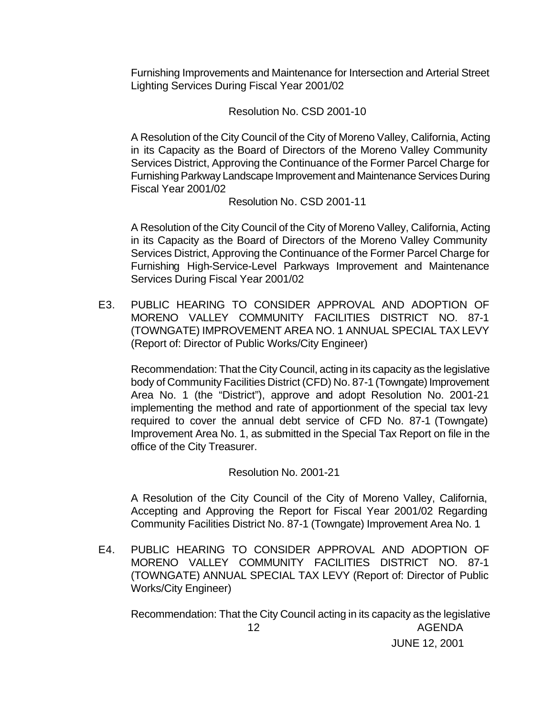Furnishing Improvements and Maintenance for Intersection and Arterial Street Lighting Services During Fiscal Year 2001/02

Resolution No. CSD 2001-10

A Resolution of the City Council of the City of Moreno Valley, California, Acting in its Capacity as the Board of Directors of the Moreno Valley Community Services District, Approving the Continuance of the Former Parcel Charge for Furnishing Parkway Landscape Improvement and Maintenance Services During Fiscal Year 2001/02

Resolution No. CSD 2001-11

A Resolution of the City Council of the City of Moreno Valley, California, Acting in its Capacity as the Board of Directors of the Moreno Valley Community Services District, Approving the Continuance of the Former Parcel Charge for Furnishing High-Service-Level Parkways Improvement and Maintenance Services During Fiscal Year 2001/02

E3. PUBLIC HEARING TO CONSIDER APPROVAL AND ADOPTION OF MORENO VALLEY COMMUNITY FACILITIES DISTRICT NO. 87-1 (TOWNGATE) IMPROVEMENT AREA NO. 1 ANNUAL SPECIAL TAX LEVY (Report of: Director of Public Works/City Engineer)

Recommendation: That the City Council, acting in its capacity as the legislative body of Community Facilities District (CFD) No. 87-1 (Towngate) Improvement Area No. 1 (the "District"), approve and adopt Resolution No. 2001-21 implementing the method and rate of apportionment of the special tax levy required to cover the annual debt service of CFD No. 87-1 (Towngate) Improvement Area No. 1, as submitted in the Special Tax Report on file in the office of the City Treasurer.

Resolution No. 2001-21

A Resolution of the City Council of the City of Moreno Valley, California, Accepting and Approving the Report for Fiscal Year 2001/02 Regarding Community Facilities District No. 87-1 (Towngate) Improvement Area No. 1

E4. PUBLIC HEARING TO CONSIDER APPROVAL AND ADOPTION OF MORENO VALLEY COMMUNITY FACILITIES DISTRICT NO. 87-1 (TOWNGATE) ANNUAL SPECIAL TAX LEVY (Report of: Director of Public Works/City Engineer)

 12 AGENDA JUNE 12, 2001 Recommendation: That the City Council acting in its capacity as the legislative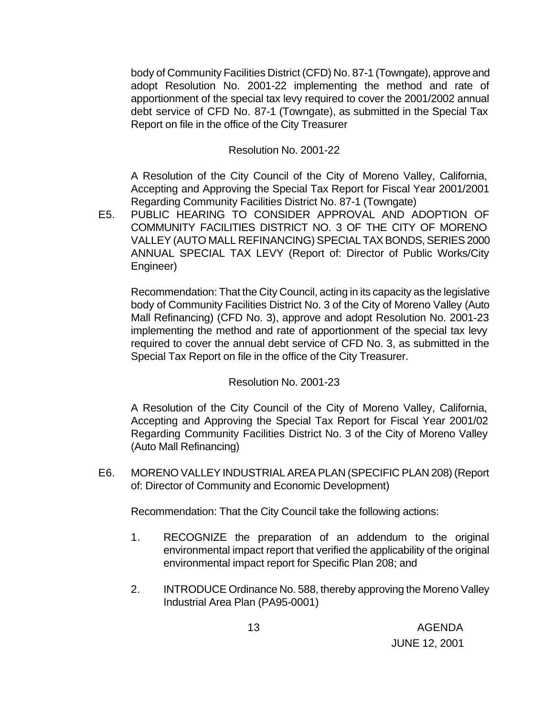body of Community Facilities District (CFD) No. 87-1 (Towngate), approve and adopt Resolution No. 2001-22 implementing the method and rate of apportionment of the special tax levy required to cover the 2001/2002 annual debt service of CFD No. 87-1 (Towngate), as submitted in the Special Tax Report on file in the office of the City Treasurer

#### Resolution No. 2001-22

A Resolution of the City Council of the City of Moreno Valley, California, Accepting and Approving the Special Tax Report for Fiscal Year 2001/2001 Regarding Community Facilities District No. 87-1 (Towngate)

E5. PUBLIC HEARING TO CONSIDER APPROVAL AND ADOPTION OF COMMUNITY FACILITIES DISTRICT NO. 3 OF THE CITY OF MORENO VALLEY (AUTO MALL REFINANCING) SPECIAL TAX BONDS, SERIES 2000 ANNUAL SPECIAL TAX LEVY (Report of: Director of Public Works/City Engineer)

Recommendation: That the City Council, acting in its capacity as the legislative body of Community Facilities District No. 3 of the City of Moreno Valley (Auto Mall Refinancing) (CFD No. 3), approve and adopt Resolution No. 2001-23 implementing the method and rate of apportionment of the special tax levy required to cover the annual debt service of CFD No. 3, as submitted in the Special Tax Report on file in the office of the City Treasurer.

#### Resolution No. 2001-23

A Resolution of the City Council of the City of Moreno Valley, California, Accepting and Approving the Special Tax Report for Fiscal Year 2001/02 Regarding Community Facilities District No. 3 of the City of Moreno Valley (Auto Mall Refinancing)

E6. MORENO VALLEY INDUSTRIAL AREA PLAN (SPECIFIC PLAN 208) (Report of: Director of Community and Economic Development)

Recommendation: That the City Council take the following actions:

- 1. RECOGNIZE the preparation of an addendum to the original environmental impact report that verified the applicability of the original environmental impact report for Specific Plan 208; and
- 2. INTRODUCE Ordinance No. 588, thereby approving the Moreno Valley Industrial Area Plan (PA95-0001)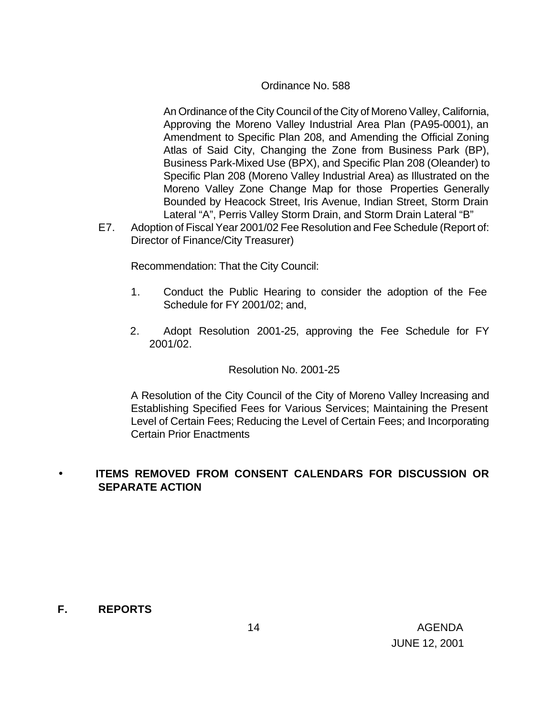#### Ordinance No. 588

An Ordinance of the City Council of the City of Moreno Valley, California, Approving the Moreno Valley Industrial Area Plan (PA95-0001), an Amendment to Specific Plan 208, and Amending the Official Zoning Atlas of Said City, Changing the Zone from Business Park (BP), Business Park-Mixed Use (BPX), and Specific Plan 208 (Oleander) to Specific Plan 208 (Moreno Valley Industrial Area) as Illustrated on the Moreno Valley Zone Change Map for those Properties Generally Bounded by Heacock Street, Iris Avenue, Indian Street, Storm Drain Lateral "A", Perris Valley Storm Drain, and Storm Drain Lateral "B"

E7. Adoption of Fiscal Year 2001/02 Fee Resolution and Fee Schedule (Report of: Director of Finance/City Treasurer)

Recommendation: That the City Council:

- 1. Conduct the Public Hearing to consider the adoption of the Fee Schedule for FY 2001/02; and,
- 2. Adopt Resolution 2001-25, approving the Fee Schedule for FY 2001/02.

#### Resolution No. 2001-25

A Resolution of the City Council of the City of Moreno Valley Increasing and Establishing Specified Fees for Various Services; Maintaining the Present Level of Certain Fees; Reducing the Level of Certain Fees; and Incorporating Certain Prior Enactments

## • **ITEMS REMOVED FROM CONSENT CALENDARS FOR DISCUSSION OR SEPARATE ACTION**

#### **F. REPORTS**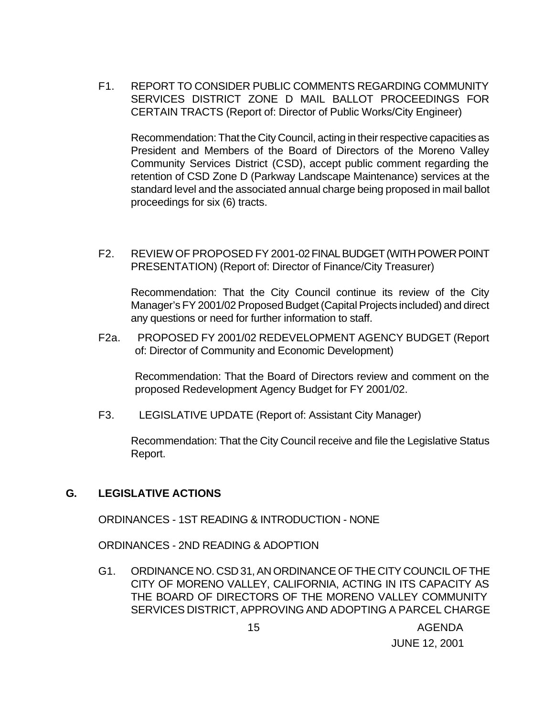F1. REPORT TO CONSIDER PUBLIC COMMENTS REGARDING COMMUNITY SERVICES DISTRICT ZONE D MAIL BALLOT PROCEEDINGS FOR CERTAIN TRACTS (Report of: Director of Public Works/City Engineer)

Recommendation: That the City Council, acting in their respective capacities as President and Members of the Board of Directors of the Moreno Valley Community Services District (CSD), accept public comment regarding the retention of CSD Zone D (Parkway Landscape Maintenance) services at the standard level and the associated annual charge being proposed in mail ballot proceedings for six (6) tracts.

F2. REVIEW OF PROPOSED FY 2001-02 FINAL BUDGET (WITH POWER POINT PRESENTATION) (Report of: Director of Finance/City Treasurer)

Recommendation: That the City Council continue its review of the City Manager's FY 2001/02 Proposed Budget (Capital Projects included) and direct any questions or need for further information to staff.

F2a. PROPOSED FY 2001/02 REDEVELOPMENT AGENCY BUDGET (Report of: Director of Community and Economic Development)

Recommendation: That the Board of Directors review and comment on the proposed Redevelopment Agency Budget for FY 2001/02.

F3. LEGISLATIVE UPDATE (Report of: Assistant City Manager)

Recommendation: That the City Council receive and file the Legislative Status Report.

## **G. LEGISLATIVE ACTIONS**

ORDINANCES - 1ST READING & INTRODUCTION - NONE

ORDINANCES - 2ND READING & ADOPTION

G1. ORDINANCE NO. CSD 31, AN ORDINANCE OF THE CITY COUNCIL OF THE CITY OF MORENO VALLEY, CALIFORNIA, ACTING IN ITS CAPACITY AS THE BOARD OF DIRECTORS OF THE MORENO VALLEY COMMUNITY SERVICES DISTRICT, APPROVING AND ADOPTING A PARCEL CHARGE